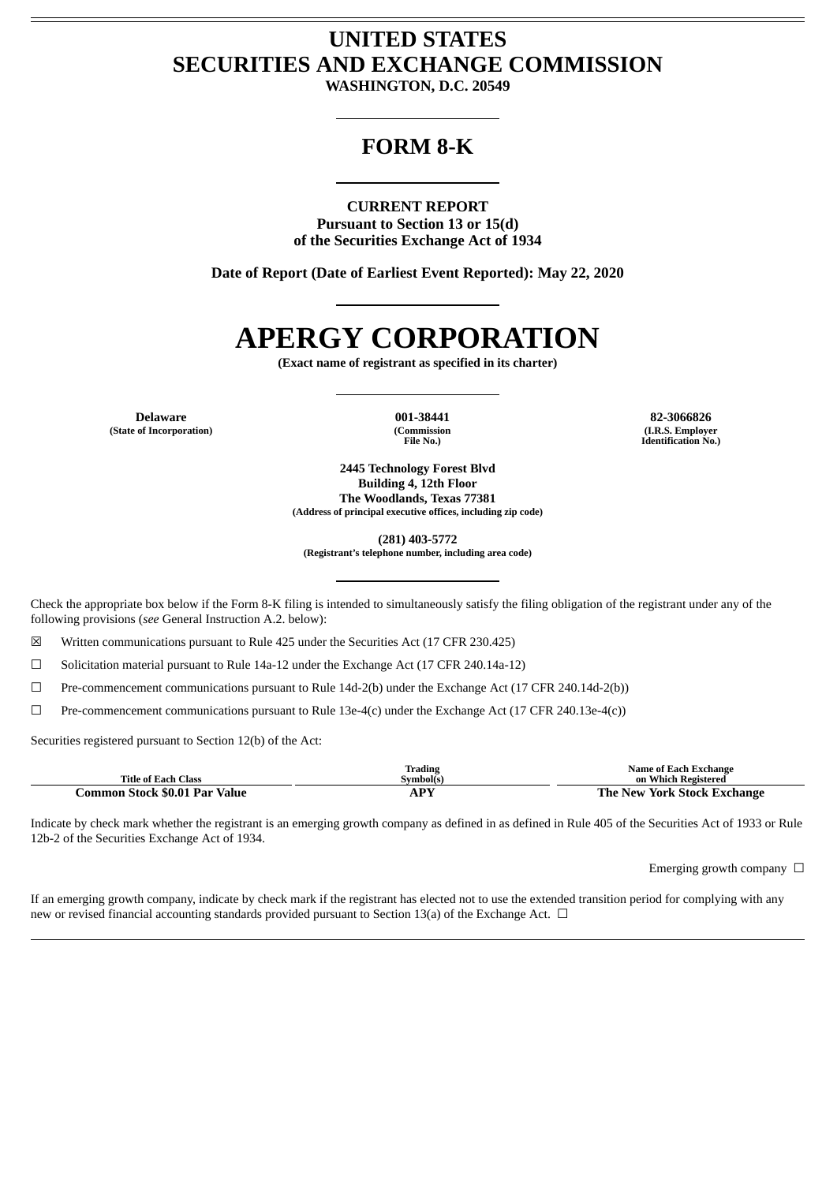## **UNITED STATES SECURITIES AND EXCHANGE COMMISSION**

**WASHINGTON, D.C. 20549**

## **FORM 8-K**

**CURRENT REPORT Pursuant to Section 13 or 15(d) of the Securities Exchange Act of 1934**

**Date of Report (Date of Earliest Event Reported): May 22, 2020**

# **APERGY CORPORATION**

**(Exact name of registrant as specified in its charter)**

**Delaware 001-38441 82-3066826 (State of Incorporation) (Commission**

**File No.)**

**(I.R.S. Employer Identification No.)**

**2445 Technology Forest Blvd Building 4, 12th Floor The Woodlands, Texas 77381 (Address of principal executive offices, including zip code)**

**(281) 403-5772**

**(Registrant's telephone number, including area code)**

Check the appropriate box below if the Form 8-K filing is intended to simultaneously satisfy the filing obligation of the registrant under any of the following provisions (*see* General Instruction A.2. below):

 $\boxtimes$  Written communications pursuant to Rule 425 under the Securities Act (17 CFR 230.425)

☐ Solicitation material pursuant to Rule 14a-12 under the Exchange Act (17 CFR 240.14a-12)

☐ Pre-commencement communications pursuant to Rule 14d-2(b) under the Exchange Act (17 CFR 240.14d-2(b))

 $\Box$  Pre-commencement communications pursuant to Rule 13e-4(c) under the Exchange Act (17 CFR 240.13e-4(c))

Securities registered pursuant to Section 12(b) of the Act:

|                               | Trading   | Name of Each Exchange       |
|-------------------------------|-----------|-----------------------------|
| <b>Title of Each Class</b>    | svmbol(s` | on Which Registered         |
| Common Stock \$0.01 Par Value | m         | The New York Stock Exchange |

Indicate by check mark whether the registrant is an emerging growth company as defined in as defined in Rule 405 of the Securities Act of 1933 or Rule 12b-2 of the Securities Exchange Act of 1934.

Emerging growth company  $\Box$ 

If an emerging growth company, indicate by check mark if the registrant has elected not to use the extended transition period for complying with any new or revised financial accounting standards provided pursuant to Section 13(a) of the Exchange Act.  $\Box$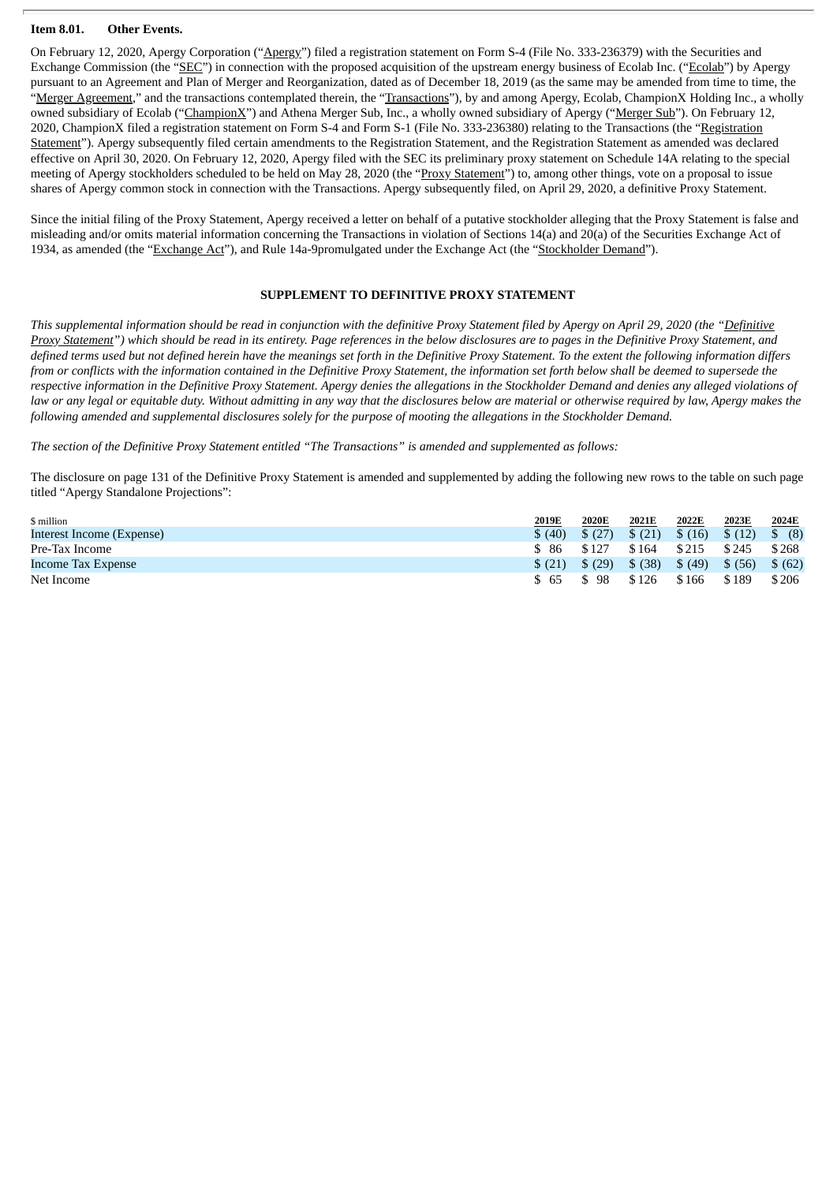#### **Item 8.01. Other Events.**

On February 12, 2020, Apergy Corporation ("Apergy") filed a registration statement on Form S-4 (File No. 333-236379) with the Securities and Exchange Commission (the "SEC") in connection with the proposed acquisition of the upstream energy business of Ecolab Inc. ("Ecolab") by Apergy pursuant to an Agreement and Plan of Merger and Reorganization, dated as of December 18, 2019 (as the same may be amended from time to time, the "Merger Agreement," and the transactions contemplated therein, the "Transactions"), by and among Apergy, Ecolab, ChampionX Holding Inc., a wholly owned subsidiary of Ecolab ("ChampionX") and Athena Merger Sub, Inc., a wholly owned subsidiary of Apergy ("Merger Sub"). On February 12, 2020, ChampionX filed a registration statement on Form S-4 and Form S-1 (File No. 333-236380) relating to the Transactions (the "Registration Statement"). Apergy subsequently filed certain amendments to the Registration Statement, and the Registration Statement as amended was declared effective on April 30, 2020. On February 12, 2020, Apergy filed with the SEC its preliminary proxy statement on Schedule 14A relating to the special meeting of Apergy stockholders scheduled to be held on May 28, 2020 (the "Proxy Statement") to, among other things, vote on a proposal to issue shares of Apergy common stock in connection with the Transactions. Apergy subsequently filed, on April 29, 2020, a definitive Proxy Statement.

Since the initial filing of the Proxy Statement, Apergy received a letter on behalf of a putative stockholder alleging that the Proxy Statement is false and misleading and/or omits material information concerning the Transactions in violation of Sections 14(a) and 20(a) of the Securities Exchange Act of 1934, as amended (the "Exchange Act"), and Rule 14a-9promulgated under the Exchange Act (the "Stockholder Demand").

#### **SUPPLEMENT TO DEFINITIVE PROXY STATEMENT**

This supplemental information should be read in conjunction with the definitive Proxy Statement filed by Apergy on April 29, 2020 (the "Definitive Proxy Statement") which should be read in its entirety. Page references in the below disclosures are to pages in the Definitive Proxy Statement, and defined terms used but not defined herein have the meanings set forth in the Definitive Proxy Statement. To the extent the following information differs from or conflicts with the information contained in the Definitive Proxy Statement, the information set forth below shall be deemed to supersede the respective information in the Definitive Proxy Statement. Apergy denies the allegations in the Stockholder Demand and denies any alleged violations of law or any legal or equitable duty. Without admitting in any way that the disclosures below are material or otherwise required by law, Apergy makes the following amended and supplemental disclosures solely for the purpose of mooting the allegations in the Stockholder Demand.

The section of the Definitive Proxy Statement entitled "The Transactions" is amended and supplemented as follows:

The disclosure on page 131 of the Definitive Proxy Statement is amended and supplemented by adding the following new rows to the table on such page titled "Apergy Standalone Projections":

| \$ million                | 2019E        | 2020E | 2021E | 2022E       | 2023E                                                                                                       | 2024E |
|---------------------------|--------------|-------|-------|-------------|-------------------------------------------------------------------------------------------------------------|-------|
| Interest Income (Expense) | \$ (40)      |       |       |             | $$ (27) \quad $ (21) \quad $ (16) \quad $ (12) \quad $ (8)$                                                 |       |
| Pre-Tax Income            | \$ 86 \$ 127 |       | \$164 | \$215 \$245 |                                                                                                             | \$268 |
| Income Tax Expense        |              |       |       |             | $\frac{1}{2}(21)$ $\frac{1}{2}(29)$ $\frac{1}{2}(38)$ $\frac{1}{2}(49)$ $\frac{1}{2}(56)$ $\frac{1}{2}(62)$ |       |
| Net Income                | \$ 65        | \$98  | \$126 | \$166       | \$189                                                                                                       | \$206 |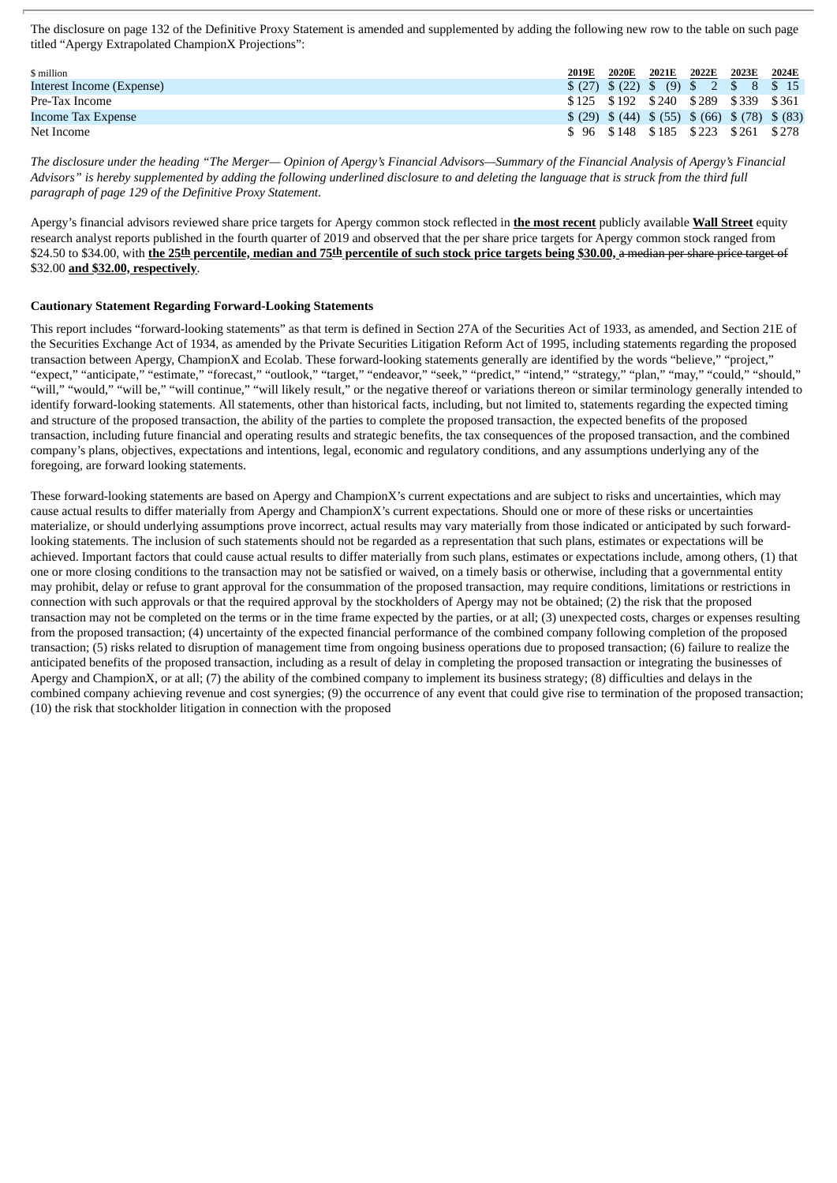The disclosure on page 132 of the Definitive Proxy Statement is amended and supplemented by adding the following new row to the table on such page titled "Apergy Extrapolated ChampionX Projections":

| \$ million                | 2019E                                       | 2020E | 2021E | 2022E | 2023E | 2024E |
|---------------------------|---------------------------------------------|-------|-------|-------|-------|-------|
| Interest Income (Expense) | \$(27) \$(22) \$(9) \$2 \$38\$              |       |       |       |       |       |
| Pre-Tax Income            | \$125 \$192 \$240 \$289 \$339 \$361         |       |       |       |       |       |
| Income Tax Expense        | $$ (29) $ (44) $ (55) $ (66) $ (78) $ (83)$ |       |       |       |       |       |
| Net Income                | \$96 \$148 \$185 \$223 \$261 \$278          |       |       |       |       |       |

The disclosure under the heading "The Merger— Opinion of Apergy's Financial Advisors—Summary of the Financial Analysis of Apergy's Financial Advisors" is hereby supplemented by adding the following underlined disclosure to and deleting the language that is struck from the third full *paragraph of page 129 of the Definitive Proxy Statement.*

Apergy's financial advisors reviewed share price targets for Apergy common stock reflected in **the most recent** publicly available **Wall Street** equity research analyst reports published in the fourth quarter of 2019 and observed that the per share price targets for Apergy common stock ranged from \$24.50 to \$34.00, with the 25th percentile, median and 75th percentile of such stock price targets being \$30.00, a median per share price target of \$32.00 **and \$32.00, respectively**.

#### **Cautionary Statement Regarding Forward-Looking Statements**

This report includes "forward-looking statements" as that term is defined in Section 27A of the Securities Act of 1933, as amended, and Section 21E of the Securities Exchange Act of 1934, as amended by the Private Securities Litigation Reform Act of 1995, including statements regarding the proposed transaction between Apergy, ChampionX and Ecolab. These forward-looking statements generally are identified by the words "believe," "project," "expect," "anticipate," "estimate," "forecast," "outlook," "target," "endeavor," "seek," "predict," "intend," "strategy," "plan," "may," "could," "should," "will," "would," "will be," "will continue," "will likely result," or the negative thereof or variations thereon or similar terminology generally intended to identify forward-looking statements. All statements, other than historical facts, including, but not limited to, statements regarding the expected timing and structure of the proposed transaction, the ability of the parties to complete the proposed transaction, the expected benefits of the proposed transaction, including future financial and operating results and strategic benefits, the tax consequences of the proposed transaction, and the combined company's plans, objectives, expectations and intentions, legal, economic and regulatory conditions, and any assumptions underlying any of the foregoing, are forward looking statements.

These forward-looking statements are based on Apergy and ChampionX's current expectations and are subject to risks and uncertainties, which may cause actual results to differ materially from Apergy and ChampionX's current expectations. Should one or more of these risks or uncertainties materialize, or should underlying assumptions prove incorrect, actual results may vary materially from those indicated or anticipated by such forwardlooking statements. The inclusion of such statements should not be regarded as a representation that such plans, estimates or expectations will be achieved. Important factors that could cause actual results to differ materially from such plans, estimates or expectations include, among others, (1) that one or more closing conditions to the transaction may not be satisfied or waived, on a timely basis or otherwise, including that a governmental entity may prohibit, delay or refuse to grant approval for the consummation of the proposed transaction, may require conditions, limitations or restrictions in connection with such approvals or that the required approval by the stockholders of Apergy may not be obtained; (2) the risk that the proposed transaction may not be completed on the terms or in the time frame expected by the parties, or at all; (3) unexpected costs, charges or expenses resulting from the proposed transaction; (4) uncertainty of the expected financial performance of the combined company following completion of the proposed transaction; (5) risks related to disruption of management time from ongoing business operations due to proposed transaction; (6) failure to realize the anticipated benefits of the proposed transaction, including as a result of delay in completing the proposed transaction or integrating the businesses of Apergy and ChampionX, or at all; (7) the ability of the combined company to implement its business strategy; (8) difficulties and delays in the combined company achieving revenue and cost synergies; (9) the occurrence of any event that could give rise to termination of the proposed transaction; (10) the risk that stockholder litigation in connection with the proposed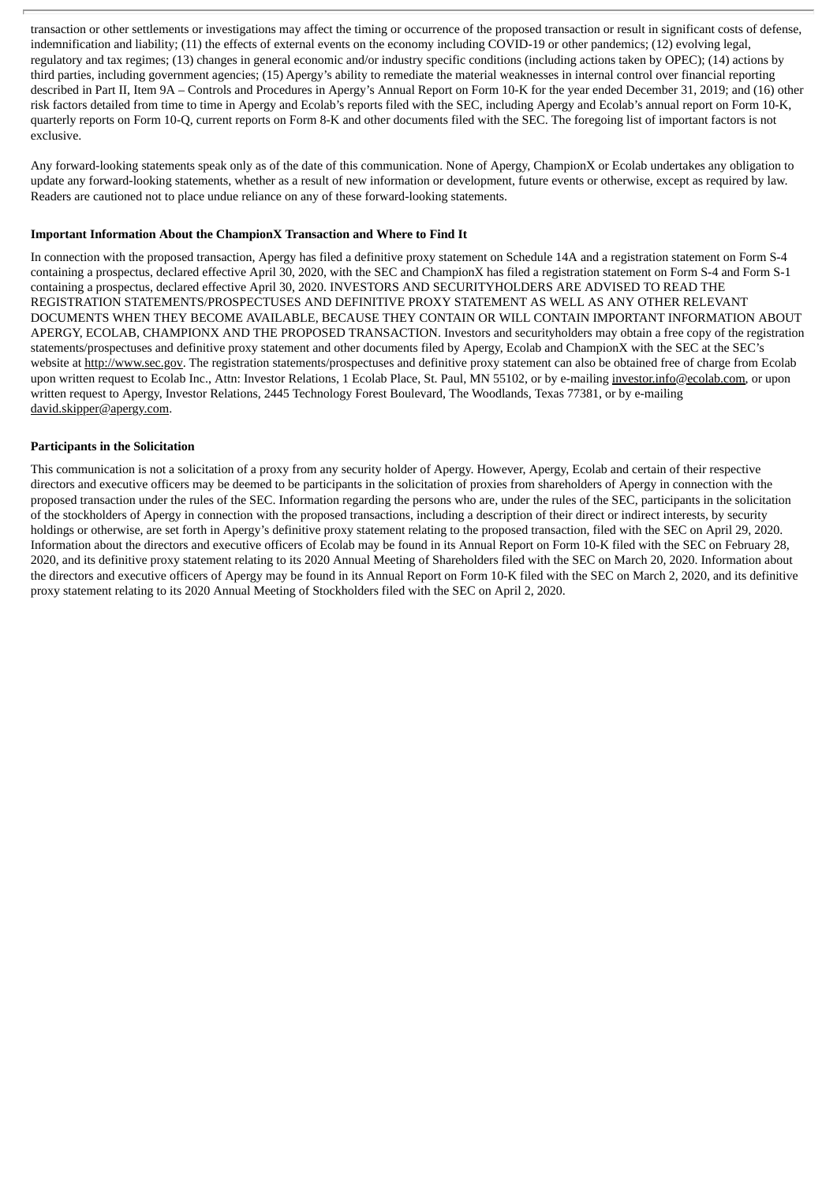transaction or other settlements or investigations may affect the timing or occurrence of the proposed transaction or result in significant costs of defense, indemnification and liability; (11) the effects of external events on the economy including COVID-19 or other pandemics; (12) evolving legal, regulatory and tax regimes; (13) changes in general economic and/or industry specific conditions (including actions taken by OPEC); (14) actions by third parties, including government agencies; (15) Apergy's ability to remediate the material weaknesses in internal control over financial reporting described in Part II, Item 9A – Controls and Procedures in Apergy's Annual Report on Form 10-K for the year ended December 31, 2019; and (16) other risk factors detailed from time to time in Apergy and Ecolab's reports filed with the SEC, including Apergy and Ecolab's annual report on Form 10-K, quarterly reports on Form 10-Q, current reports on Form 8-K and other documents filed with the SEC. The foregoing list of important factors is not exclusive.

Any forward-looking statements speak only as of the date of this communication. None of Apergy, ChampionX or Ecolab undertakes any obligation to update any forward-looking statements, whether as a result of new information or development, future events or otherwise, except as required by law. Readers are cautioned not to place undue reliance on any of these forward-looking statements.

#### **Important Information About the ChampionX Transaction and Where to Find It**

In connection with the proposed transaction, Apergy has filed a definitive proxy statement on Schedule 14A and a registration statement on Form S-4 containing a prospectus, declared effective April 30, 2020, with the SEC and ChampionX has filed a registration statement on Form S-4 and Form S-1 containing a prospectus, declared effective April 30, 2020. INVESTORS AND SECURITYHOLDERS ARE ADVISED TO READ THE REGISTRATION STATEMENTS/PROSPECTUSES AND DEFINITIVE PROXY STATEMENT AS WELL AS ANY OTHER RELEVANT DOCUMENTS WHEN THEY BECOME AVAILABLE, BECAUSE THEY CONTAIN OR WILL CONTAIN IMPORTANT INFORMATION ABOUT APERGY, ECOLAB, CHAMPIONX AND THE PROPOSED TRANSACTION. Investors and securityholders may obtain a free copy of the registration statements/prospectuses and definitive proxy statement and other documents filed by Apergy, Ecolab and ChampionX with the SEC at the SEC's website at http://www.sec.gov. The registration statements/prospectuses and definitive proxy statement can also be obtained free of charge from Ecolab upon written request to Ecolab Inc., Attn: Investor Relations, 1 Ecolab Place, St. Paul, MN 55102, or by e-mailing investor.info@ecolab.com, or upon written request to Apergy, Investor Relations, 2445 Technology Forest Boulevard, The Woodlands, Texas 77381, or by e-mailing david.skipper@apergy.com.

#### **Participants in the Solicitation**

This communication is not a solicitation of a proxy from any security holder of Apergy. However, Apergy, Ecolab and certain of their respective directors and executive officers may be deemed to be participants in the solicitation of proxies from shareholders of Apergy in connection with the proposed transaction under the rules of the SEC. Information regarding the persons who are, under the rules of the SEC, participants in the solicitation of the stockholders of Apergy in connection with the proposed transactions, including a description of their direct or indirect interests, by security holdings or otherwise, are set forth in Apergy's definitive proxy statement relating to the proposed transaction, filed with the SEC on April 29, 2020. Information about the directors and executive officers of Ecolab may be found in its Annual Report on Form 10-K filed with the SEC on February 28, 2020, and its definitive proxy statement relating to its 2020 Annual Meeting of Shareholders filed with the SEC on March 20, 2020. Information about the directors and executive officers of Apergy may be found in its Annual Report on Form 10-K filed with the SEC on March 2, 2020, and its definitive proxy statement relating to its 2020 Annual Meeting of Stockholders filed with the SEC on April 2, 2020.